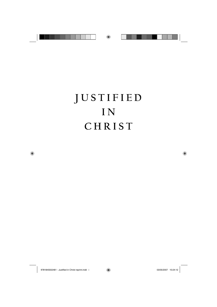

◈

 $\bigoplus$ 

9781845502461 - Justified in Christ reprint.indd i 781845502461 - 3/05/2007 10:24:12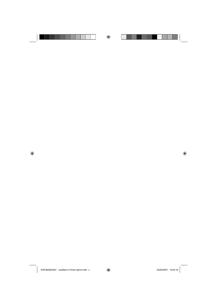| _______ | . |
|---------|---|
|         |   |

 $\bigoplus$ 

 $\bigoplus$ 

 $\mathbb{R}$ 

9781845502461 - Justified in Christ reprint.indd ii 38/05/2007 10:24:18 3/05/2007 10:24:18 3/05/2007 10:24:18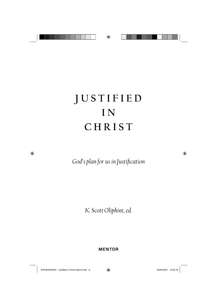

God's plan for us in Justification

*K. Scott Oliphint, ed.*

**MENTOR** 

 $\bigoplus$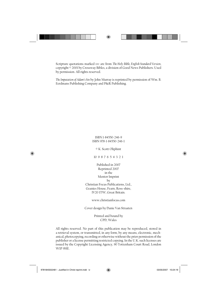

Scripture quotations marked ESV are from *The Holy Bible, English Standard Version*, copyright © 2001 by Crossway Bibles, a division of Good News Publishers. Used by permission. All rights reserved.

*The Imputation of Adam's Sin* by John Murray is reprinted by permission of Wm. B. Eerdmans Publishing Company and P&R Publishing.

> ISBN 1-84550-246-9 ISBN 978-1-84550-246-1

© K. Scott Oliphint

10 9 8 7 6 5 4 3 2 1

Published in 2007 Reprinted 2007 in the Mentor Imprint by Christian Focus Publications, Ltd., Geanies House, Fearn, Ross-shire, IV20 1TW, Great Britain.

www.christianfocus.com

Cover design by Danie Van Straaten

Printed and bound by CPD, Wales

All rights reserved. No part of this publication may be reproduced, stored in a retrieval system, or transmitted, in any form, by any means, electronic, mechanical, photocopying, recording or otherwise without the prior permission of the publisher or a license permitting restricted copying. In the U.K. such licenses are issued by the Copyright Licensing Agency, 90 Tottenham Court Road, London W1P 9HE.

⊕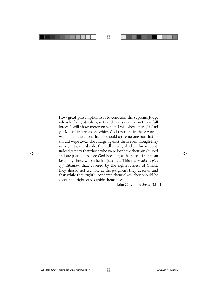

How great presumption is it to condemn the supreme Judge when he freely absolves, so that this answer may not have full force: "I will show mercy on whom I will show mercy"? And yet Moses' intercession, which God restrains in these words, was not to the effect that he should spare no one but that he should wipe away the charge against them even though they were guilty, and absolve them all equally. And on this account, indeed, we say that those who were lost have their sins buried and are justified before God because, as he hates sin, he can love only those whom he has justified. This is a *wonderful plan of justifi cation* that, covered by the righteousness of Christ, they should not tremble at the judgment they deserve, and that while they rightly condemn themselves, they should be accounted righteous outside themselves.

John Calvin, *Institutes,* 3.11.11

⊕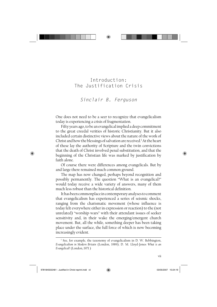

### Introduction: The Justification Crisis

### *Sinclair B. Ferguson*

One does not need to be a seer to recognize that evangelicalism today is experiencing a crisis of fragmentation.

Fifty years ago, to be an evangelical implied a deep commitment to the great creedal verities of historic Christianity. But it also included certain distinctive views about the nature of the work of Christ and how the blessings of salvation are received.<sup>1</sup> At the heart of these lay the authority of Scripture and the twin convictions that the death of Christ involved penal substitution, and that the beginning of the Christian life was marked by justification by faith alone.

Of course there were differences among evangelicals. But by and large there remained much common ground.

The map has now changed, perhaps beyond recognition and possibly permanently. The question "What is an evangelical?" would today receive a wide variety of answers, many of them much less robust than the historical definition.

It has been commonplace in contemporary analyses to comment that evangelicalism has experienced a series of seismic shocks, ranging from the charismatic movement (whose influence is today felt everywhere either in expression or reaction) to the (not unrelated) "worship-wars" with their attendant issues of seeker sensitivity and, in their wake the emerging/emergent church movement. But, all the while, something deeper has been taking place under the surface, the full force of which is now becoming increasingly evident.

9781845502461 - Justified in Christ reprint.indd vii 7818461 03/05/2007 10:24:19

⊕

◈

vii

<sup>&</sup>lt;sup>1</sup> See, for example, the taxonomy of evangelicalism in D. W. Bebbington, *Evangelicalism in Modern Britain* (London, 1989); D. M. Lloyd-Jones *What is an Evangelical?* (London, 1971 )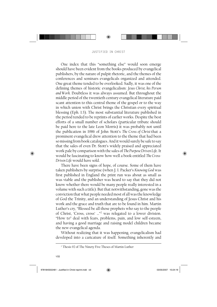

One index that this "something else" would soon emerge should have been evident from the books produced by evangelical publishers, by the nature of pulpit rhetoric, and the themes of the conferences and seminars evangelicals organized and attended. One great theme tended to be overlooked. Sadly, it was one of the defi ning themes of historic evangelicalism: *Jesus Christ, his Person and Work.* Doubtless it was always assumed. But throughout the middle period of the twentieth century evangelical literature paid scant attention to this central theme of the gospel or to the way in which union with Christ brings the Christian every spiritual blessing (Eph. 1:3). The most substantial literature published in the period tended to be reprints of earlier works. Despite the best efforts of a small number of scholars (particular tribute should be paid here to the late Leon Morris) it was probably not until the publication in 1986 of John Stott's *The Cross of Christ* that a prominent evangelical drew attention to the theme that had been so missing from book catalogues. And it would surely be safe to say that the sales of even Dr. Stott's widely praised and appreciated work pale by comparison with the sales of *The Purpose Driven Life*. It would be fascinating to know how well a book entitled *The Cross-Driven Life* would have sold.

There have been signs of hope, of course. Some of them have taken publishers by surprise (when J. I. Packer's *Knowing God* was first published in England the print run was about as small as was viable and the publisher was heard to say that they did not know whether there would be many people really interested in a volume with such a title). But that notwithstanding, gone was the conviction that what people needed most of all was the knowledge of God the Trinity, and an understanding of Jesus Christ and his work and the grace and truth that are to be found in him. Martin Luther's cry, "Blessed be all those prophets who say to the people of Christ, 'Cross, cross' …"2 was relegated to a lower division. "How to" deal with fears, problems, pain, and low self-esteem, and having a good marriage and raising model children became the new evangelical agenda.

Without realizing that it was happening, evangelicalism had developed into a caricature of itself. Something inherently and

⊕

<sup>2</sup> Thesis 92 of The Ninety Five Theses of Martin Luther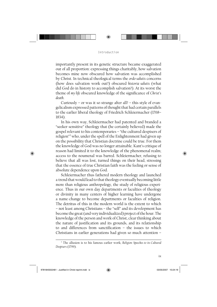

importantly present in its genetic structure became exaggerated out of all proportion: expressing things charitably, how salvation becomes mine now obscured how salvation was accomplished by Christ. In technical theological terms the *ordo salutis* concerns (how does salvation work out?) obscured *historia salutis* (what did God do in history to accomplish salvation?). At its worst the theme of *my life* obscured knowledge of the significance of *Christ's death*.

Curiously – or was it so strange after all? – this style of evangelicalism expressed patterns of thought that had certain parallels to the earlier liberal theology of Friedrich Schleiermacher (1768– 1834).

In his own way, Schleiermacher had patented and branded a "seeker sensitive" theology that (he certainly believed) made the gospel relevant to his contemporaries – "the cultured despisers of religion"3 who, under the spell of the Enlightenment had given up on the possibility that Christian doctrine could be true. For them the knowledge of God was no longer attainable. Kant's critique of reason had limited it to the knowledge of the phenomenal realm; access to the noumenal was barred. Schleiermacher, refusing to believe that all was lost, turned things on their head, stressing that the essence of true Christian faith was the feeling or sense of absolute dependence upon God.

Schleiermacher thus fathered modern theology and launched a trend that would lead to that theology eventually becoming little more than religious anthropology, the study of religious experience. Thus in our own day departments or faculties of theology or divinity in many centers of higher learning have undergone a name-change to become departments or faculties of religion. The detritus of this in the modern world is the extent to which – not least among Christians – the "self" and its development has become the great (and very individualized) project of the hour. The knowledge of the person and work of Christ, clear thinking about the nature of justification and its grounds, and its relationship to and differences from sanctification  $-$  the issues to which Christians in earlier generations had given so much attention –

⊕

⊕

ix

<sup>3</sup> The allusion is to his famous earlier work, *Religion: Speeches to its Cultured Despisers* (1799).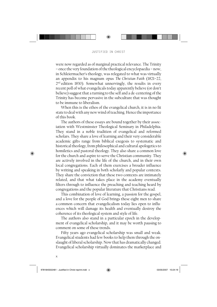

were now regarded as of marginal practical relevance. The Trinity – once the very foundation of the theological encyclopaedia – now, in Schleiermacher's theology, was relegated to what was virtually an appendix to his magnum opus *The Christian Faith* (1821–22, 2nd edition 1830). Somewhat unnervingly, the results in every recent poll of what evangelicals today apparently believe (or don't believe) suggest that a turning to the self and a de-centering of the Trinity has become pervasive in the subculture that was thought to be immune to liberalism.

When this is the ethos of the evangelical church, it is in no fit state to deal with any new wind of teaching. Hence the importance of this book.

The authors of these essays are bound together by their association with Westminster Theological Seminary in Philadelphia. They stand in a noble tradition of evangelical and reformed scholars. They share a love of learning and their very considerable academic gifts range from biblical exegesis to systematic and historical theology, from philosophical and cultural apologetics to homiletics and pastoral theology. They also share a common love for the church and aspire to serve the Christian community. They are actively involved in the life of the church, and in their own local congregations. Each of them exercises a broader influence by writing and speaking in both scholarly and popular contexts. They share the conviction that these two contexts are intimately related, and that what takes place in the academy eventually filters through to influence the preaching and teaching heard by congregations and the popular literature that Christians read.

This combination of love of learning, a passion for the gospel, and a love for the people of God brings these eight men to share a common concern that evangelicalism today lies open to influences which will damage its health and eventually destroy the coherence of its theological system and style of life.

The authors also stand in a particular epoch in the development of evangelical scholarship, and it may be worth pausing to comment on some of these trends.

Fifty years ago evangelical scholarship was small and weak. Evangelical students had few books to help them through the onslaught of liberal scholarship. Now that has dramatically changed. Evangelical scholarship virtually dominates the marketplace and

⊕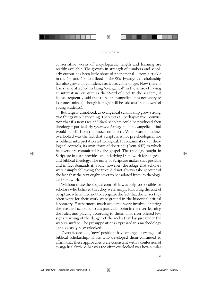

conservative works of encyclopaedic length and learning are readily available. The growth in strength of numbers and scholarly output has been little short of phenomenal – from a trickle in the 50s and 60s to a flood in the 90s. Evangelical scholarship has also grown in confidence as it has come of age. Now there is less shame attached to being "evangelical" in the sense of having an interest in Scripture as the Word of God. In the academy it is less frequently said that to be an evangelical it is necessary to lose one's mind (although it might still be said as a "put-down" of young students).

But largely unnoticed, as evangelical scholarship grew strong, two things were happening. There was a – perhaps naïve – conviction that if a new race of *biblical* scholars could be produced then theology – particularly *systematic theology* – of an evangelical kind would benefit from the knock-on effects. What was sometimes overlooked was the fact that Scripture is not pre-theological nor is biblical interpretation a-theological. It contains its own theological controls, its own "form of doctrine" (Rom. 6:17) to which believers are committed by the gospel. The theology taught in Scripture in turn provides an underlying framework for exegesis and biblical theology. The unity of Scripture makes that possible and in fact demands it. Sadly, however, the adage that scholars were "simply following the text" did not always take account of the fact that the text ought never to be isolated from its theological framework.

Without these theological controls it was only too possible for scholars who believed that they were simply following the text of Scripture where it led not to recognize the fact that the lenses they often wore for their work were ground in the historical-critical laboratory. Furthermore, much academic work involved entering the stream of scholarship at a particular point in the river, learning the rules, and playing according to them. That river offered few signs warning of the danger of the rocks that lay just under the water's surface. The presuppositions expressed in a methodology can too easily be overlooked.

 Over the decades, "new" positions have emerged in evangelical biblical scholarship. Those who developed them continued to affirm that these approaches were consistent with a confession of evangelical faith. What was too often overlooked was how similar

⊕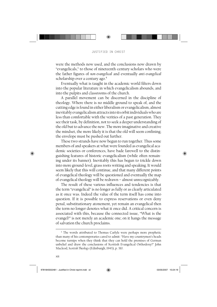

were the methods now used, and the conclusions now drawn by "evangelicals," to those of nineteenth-century scholars who were the father figures of *non-evangelical* and eventually *anti-evangelical* scholarship over a century ago.<sup>4</sup>

Eventually what is taught in the academic world filters down into the popular literature in which evangelicalism abounds, and into the pulpits and classrooms of the church.

A parallel movement can be discerned in the discipline of theology. Where there is no middle ground to speak of, and the cutting edge is found in either liberalism or evangelicalism, almost inevitably evangelicalism attracts into its orbit individuals who are less than comfortable with the verities of a past generation. They see their task, by definition, not to seek a deeper understanding of the old but to advance the new. The more imaginative and creative the mindset, the more likely it is that the old will seem confining; the envelope must be pushed out further.

These two strands have now begun to run together. Thus some members of and speakers at what were founded as evangelical academic societies or conferences, have bade farewell to the distinguishing features of historic evangelicalism (while often remaining under its banner). Inevitably this has begun to trickle down into more ground-level, grass roots writing and speaking. It would seem likely that this will continue, and that many different points of evangelical theology will be questioned and eventually the map of evangelical theology will be redrawn – almost unrecognizably.

The result of these various influences and tendencies is that the term "evangelical" is no longer as fully or as clearly articulated as it once was. Indeed the value of the term itself has come into question. If it is possible to express reservations or even deny penal, substitutionary atonement, yet remain an evangelical then the term no longer denotes what it once did. A critical concern is associated with this, because the connected issue, "What is the evangel?" is not merely an academic one; on it hangs the message of salvation the church proclaims.

⊕

9781845502461 - Justified in Christ reprint.indd xii 7818461 03/05/2007 10:24:19

<sup>4</sup> The words attributed to Thomas Carlyle were perhaps more prophetic than many of his contemporaries cared to admit: "Have my countrymen's heads become turnips when they think that they can hold the premises of German unbelief and draw the conclusions of Scottish Evangelical Orthodoxy?" John Macleod, *Scottish Theology* (Edinburgh, 1943), p. 310.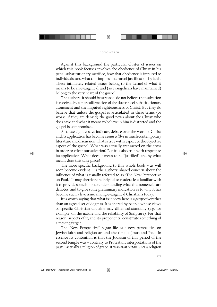

Against this background the particular cluster of issues on which this book focuses involves the obedience of Christ in his penal substitutionary sacrifice, how that obedience is imputed to individuals, and what this implies in terms of justification by faith. These intimately related issues belong to the kernel of what it means to be an evangelical, and (so evangelicals have maintained) belong to the very heart of the gospel.

The authors, it should be stressed, do not believe that salvation is received by a mere affirmation of the doctrine of substitutionary atonement and the imputed righteousness of Christ. But they do believe that unless the gospel is articulated in these terms (or worse, if they are denied) the good news about the Christ who does save and what it means to believe in him is distorted and the gospel is compromised.

As these eight essays indicate, debate over the work of Christ and its application has become a *cause celèbre* in much contemporary literature and discussion. That is true with respect to the objective aspect of the gospel: What was actually transacted on the cross in order to effect our salvation? But it is also true with respect to its application: What does it mean to be "justified" and by what means does this take place?

The more specific background to this whole book  $-$  as will soon become evident – is the authors' shared concern about the influence of what is usually referred to as "The New Perspective on Paul." It may therefore be helpful to readers less familiar with it to provide some hints to understanding what this nomenclature denotes, and to give some preliminary indication as to why it has become such a live issue among evangelical Christians today.

It is worth saying that what is in view here is a *perspective* rather than an agreed set of dogmas. It is shared by people whose views of specific Christian doctrine may differ substantially (e.g. for example, on the nature and the reliability of Scripture). For that reason, aspects of it, and its proponents, constitute something of a moving target.

The "New Perspective" began life as a new perspective on Jewish faith and religion around the time of Jesus and Paul. In essence its contention is that the Judaism of this period of the second temple was – contrary to Protestant interpretations of the past – actually a religion of grace. It was *most certainly not* a religion

⊕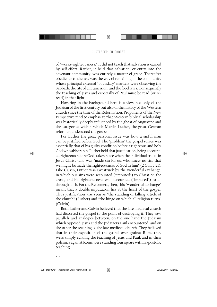

of "works-righteousness." It did not teach that salvation is earned by self-effort. Rather, it held that salvation, or entry into the covenant community, was entirely a matter of grace. Thereafter obedience to the law was the way of remaining in the community whose principal external "boundary" markers were observing the Sabbath, the rite of circumcision, and the food laws. Consequently the teaching of Jesus and especially of Paul must be read (or reread) in that light.

Hovering in the background here is a view not only of the Judaism of the first century but also of the history of the Western church since the time of the Reformation. Proponents of the New Perspective tend to emphasize that Western biblical scholarship was historically deeply influenced by the ghost of Augustine and the categories within which Martin Luther, the great German reformer, understood the gospel.

For Luther the great personal issue was how a sinful man can be justified before God. The "problem" the gospel solves was essentially that of his guilty condition before a righteous and holy God who abhors sin. Luther held that justification, being accounted righteous before God, takes place when the individual trusts in Jesus Christ who was "made sin for us, who knew no sin, that we might be made the righteousness of God in him" (2 Cor. 5:21). Like Calvin, Luther was awestruck by the wonderful exchange, in which our sins were accounted ("imputed") to Christ on the cross, and his righteousness was accounted ("imputed") to us through faith. For the Reformers, then, this "wonderful exchange" meant that a double imputation lies at the heart of the gospel. Thus justification was seen as "the standing or falling article of the church" (Luther) and "the hinge on which all religion turns" (Calvin).

Both Luther and Calvin believed that the late medieval church had distorted the gospel to the point of destroying it. They saw parallels and analogies between, on the one hand the Judaism which opposed Jesus and the Judaizers Paul encountered, and on the other the teaching of the late medieval church. They believed that in their exposition of the gospel over against Rome they were simply echoing the teaching of Jesus and Paul, and in their polemics against Rome were standing foursquare within apostolic teaching.

xiv

⊕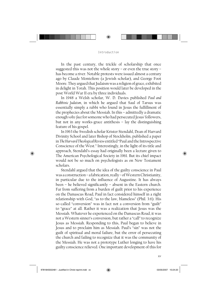

In the past century, the trickle of scholarship that once suggested this was not the whole story – or even the true story – has become a river. Notable protests were issued almost a century ago by Claude Montefiore (a Jewish scholar), and George Foot Moore. They argued that Judaism was a religion of grace, exhibited in delight in Torah. This position would later be developed in the post World War II era by three individuals.

In 1948 a Welsh scholar, W. D. Davies published *Paul and Rabbinic Judaism*, in which he argued that Saul of Tarsus was essentially simply a rabbi who found in Jesus the fulfillment of the prophecies about the Messiah. In this – admittedly a dramatic enough *volte-face* for someone who had persecuted Jesus' followers, but not in any works-grace antithesis – lay the distinguishing feature of his gospel.

In 1963 the Swedish scholar Krister Stendahl, Dean of Harvard Divinity School and later Bishop of Stockholm, published a paper in *The Harvard Theological Review* entitled "Paul and the Introspective Conscience of the West." Interestingly, in the light of its title and approach, Stendahl's essay had originally been a lecture given to The American Psychological Society in 1961. But its chief impact would not be so much on psychologists as on New Testament scholars.

Stendahl argued that the idea of the guilty conscience in Paul was a construction – a fabrication, really – of Western Christianity, in particular due to the influence of Augustine. It has always been – he believed significantly – absent in the Eastern church. Far from suffering from a burden of guilt prior to his experience on the Damascus Road, Paul in fact considered himself in a right relationship with God, "as to the law, blameless" (Phil. 3:6). His so-called "conversion" was in fact not a conversion from "guilt" to "grace" at all. Rather it was a realization that Jesus was the Messiah. Whatever he experienced on the Damascus Road, it was not a Western sinner's conversion, but rather a "call" to recognize Jesus as Messiah. Responding to this, Paul began to believe in Jesus and to proclaim him as Messiah. Paul's "sin" was not the guilt of spiritual and moral failure, but the error of persecuting the church and failing to recognize that it was the community of the Messiah. He was not a prototype Luther longing to have his guilty conscience relieved. One important development of this for

xv

⊕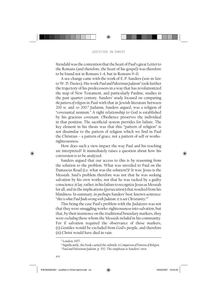

Stendahl was the contention that the heart of Paul's great Letter to the Romans (and therefore, the heart of his gospel) was therefore to be found not in Romans 1–4, but in Romans 9–11.

A sea-change came with the work of E. P. Sanders (son-in-law to W. D. Davies). His work *Paul and Palestinian Judaism5* took further the trajectory of his predecessors in a way that has revolutionized the map of New Testament, and particularly Pauline, studies in the past quarter century. Sanders' study focused on comparing *the pattern of religion* in Paul with that in Jewish literature between 200 BC and AD 200.<sup>6</sup> Judaism, Sanders argued, was a religion of "covenantal nomism." A right relationship to God is established by his gracious covenant. Obedience preserves the individual in that position. The sacrificial system provides for failure. The key element in his thesis was that this "pattern of religion" is not dissimilar to the pattern of religion which we find in Paul the Christian – a pattern of grace, not a pattern of self or worksrighteousness.

How does such a view impact the way Paul and his teaching are interpreted? It immediately raises a question about how his conversion is to be analyzed.

Sanders argued that our access to this is by reasoning from the solution to the problem. What was unveiled to Paul on the Damascus Road (i.e. what was the solution?)? It was: Jesus is the Messiah. Saul's problem therefore was not that he was seeking salvation by his own works, nor that he was racked by a guilty conscience; it lay, rather, in his failure to recognize Jesus as Messiah for all, and in the implications (persecution) that resulted from his blindness. In summary, in perhaps Sanders' best-known sentence: "this is what Paul finds wrong with Judaism: it is not Christianity."<sup>7</sup>

This being the case Paul's problem with the Judaizers was not that they were smuggling works-righteousness into salvation, but that, by their insistence on the traditional boundary markers, they were *excluding* those whom the Messiah *included* in his community. For if salvation required the observance of those markers, (i) Gentiles would be excluded from God's people, and therefore (ii) Christ would have died in vain.

⊕

<sup>5</sup> London, 1977.

<sup>&</sup>lt;sup>6</sup> Significantly, the book carried the subtitle *A Comparison of Patterns of Religion*.

<sup>7</sup> *Paul and Palestinian Judaism*, p. 552. The emphasis is Sanders' own.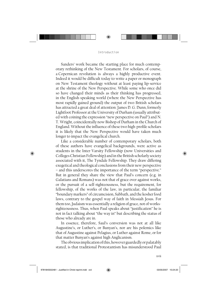

Sanders' work became the starting place for much contemporary rethinking of the New Testament. For scholars, of course, a Copernican revolution is always a highly productive event. Indeed it would be difficult today to write a paper or monograph on New Testament theology without at least paying lip-service at the shrine of the New Perspective. While some who once did so have changed their minds as their thinking has progressed, in the English-speaking world (where the New Perspective has most rapidly gained ground) the output of two British scholars has attracted a great deal of attention: James D. G. Dunn, formerly Lightfoot Professor at the University of Durham (usually attributed with coining the expression "new perspective on Paul") and N. T. Wright, coincidentally now Bishop of Durham in the Church of England. Without the influence of these two high-profile scholars it is likely that the New Perspective would have taken much longer to impact the evangelical church.

Like a considerable number of contemporary scholars, both of these authors have evangelical backgrounds, were active as students in the Inter-Varsity Fellowship (now Universities and Colleges Christian Fellowship) and in the British scholarly society associated with it, The Tyndale Fellowship. They draw differing exegetical and theological conclusions from their new perspective – and this underscores the importance of the term "perspective." But in general they share the view that Paul's concern (e.g. in Galatians and Romans) was not that of grace over against works, or the pursuit of a self-righteousness, but the requirement, for fellowship, of the works of the law, in particular, the familiar "boundary markers" of circumcision, Sabbath, and the kosher food laws, contrary to the gospel way of faith in Messiah Jesus. For them too, Judaism was essentially a religion of grace, not of worksrighteousness. Thus, when Paul speaks about "justification" he is not in fact talking about "the way in" but describing the status of those who already are in.

In essence, therefore, Saul's conversion was not at all like Augustine's, or Luther's, or Bunyan's, nor are his polemics like that of Augustine against Pelagius, or Luther against Rome, or for that matter Bunyan's against high Anglicanism.

The obvious implication of this, however guardedly or palatably stated, is that traditional Protestantism has misunderstood Paul

xvii

⊕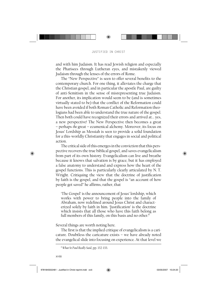

JUSTIFIED IN CHRIST

and with him Judaism. It has read Jewish religion and especially the Pharisees through Lutheran eyes, and mistakenly viewed Judaism through the lenses of the errors of Rome.

The "New Perspective" is seen to offer several benefits to the contemporary church. For one thing, it alleviates the charge that the Christian gospel, and in particular the apostle Paul, are guilty of anti-Semitism in the sense of misrepresenting true Judaism. For another, its implication would seem to be (and is sometimes virtually stated to be) that the conflict of the Reformation could have been avoided if both Roman Catholic and Reformation theologians had been able to understand the true nature of the gospel. Then both could have recognized their errors and arrived at... yes, a new perspective! The New Perspective then becomes a great – perhaps *the* great – ecumenical alchemy. Moreover, its focus on Jesus' Lordship as Messiah is seen to provide a solid foundation for a this-worldly Christianity that engages in social and political action.

The critical side of this emerges in the conviction that this perspective recovers the true biblical gospel, and saves evangelicalism from part of its own history. Evangelicalism can live and breathe because it knows that salvation is by grace; but it has employed a false anatomy to understand and express how the heart of the gospel functions. This is particularly clearly articulated by N. T. Wright. Critiquing the view that the doctrine of justification by faith is the gospel, and that the gospel is "an account of how people get saved" he affirms, rather, that

'The Gospel' is the announcement of Jesus' lordship, which works with power to bring people into the family of Abraham, now redefined around Jesus Christ and characterized solely by faith in him. 'Justification' is the doctrine which insists that all those who have this faith belong as full members of this family, on this basis and no other.<sup>8</sup>

Several things are worth noting here.

The first is that the implied critique of evangelicalism is a caricature. Doubtless the caricature exists – we have already noted the evangelical slide into focusing on experience. At that level we

xviii

⊕

<sup>8</sup> *What St Paul Really Said*, pp. 132-133.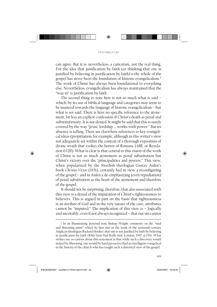

can agree. But it is, nevertheless, a caricature, not the real thing. For the idea that justification by faith (or thinking that one is justified by believing in justification by faith) is the whole of the gospel has never been the foundation of historic evangelicalism.<sup>9</sup> The work of Christ has always been foundational to everything else. Nevertheless, evangelicalism has always maintained that the "way in" is justification by faith.

The second thing to note here is not so much what is said – which, by its use of biblical language and categories may seem to be nuanced towards the language of historic evangelicalism – but what is *not* said. There is here no specific reference to the atonement, far less an explicit confession of Christ's death as penal and substitutionary. It is not denied. It might be said that this is surely covered by the way "Jesus' lordship ... works with power." But its absence is telling. There are elsewhere references to key evangelical ideas (propitiation, for example, although in this writer's view not adequately set within the context of a thorough exposition of divine wrath that evokes the horror of Romans 1:18ff, or Revelation 6:12ff). What is clear is that central to this vision of the work of Christ is not so much atonement as penal substitution but Christ's victory over the "principalities and powers." This view, when popularized by the Swedish theologian Gustav Aulén's book *Christus Victor* (1931), certainly had in view a reconfiguring of the gospel – and in Aulén a de-emphasizing (even repudiation) of penal substitution as the heart of the atonement and therefore of the gospel.

It should not be surprising, therefore, that also associated with this view is a denial of the imputation of Christ's righteousness to believers. This is argued in part on the basis that righteousness is an *attribute* of God and in the very nature of the case, attributes cannot be "imputed." The implication of this view is – logically and inevitably, even if not always recognized – that our sin cannot

⊕

<sup>9</sup> In an illuminating personal note Bishop Wright comments on the "vital and liberating point" which he first met in the work of the sixteenth-century Anglican theologian Richard Hooker, that one is not justified by faith by believing in justification by faith (*What Saint Paul Really Said*, London, 1997, p.159). What strikes one as curious about this statement is that while such a discovery would indeed be liberating, one would be hard pressed to find an intelligent evangelical in the history of the church who has taught such a distorted view of the gospel.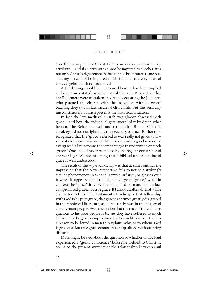

therefore be imputed to Christ. For my sin is also an *attribute* – *my* attribute! – and if an attribute cannot be imputed to another, it is not only Christ's righteousness that cannot be imputed to me but, alas, my sin cannot be imputed to Christ. Thus the very heart of the evangelical faith is eviscerated.

A third thing should be mentioned here. It has been implied and sometimes stated by adherents of the New Perspective that the Reformers were mistaken in virtually equating the Judaizers who plagued the church with the "salvation without grace" teaching they saw in late medieval church life. But this seriously misconstrues if not misrepresents the historical situation.

In fact the late medieval church was almost obsessed with grace – and how the individual gets "more" of it by doing what he can. The Reformers well understood that Roman Catholic theology did not outright deny the necessity of grace. Rather they recognized that the "grace" referred to was really not grace at all – since its reception was so conditioned on a man's good works. To say "grace" is by no means the same thing as to understand or teach "grace." One should never be misled by the regular occurrence of the word "grace" into assuming that a biblical understanding of grace is well understood.

The result of this – paradoxically – is that at times one has the impression that the New Perspective fails to notice a strikingly similar phenomenon in Second Temple Judaism, or glosses over it when it appears: the use of the language of "grace," when in context the "grace" in view is conditioned on man. It is in fact compromised grace, not true grace. It turns out, after all, that while the pattern of the Old Testament's teaching is that fellowship with God is by pure grace, that grace is at times greatly dis-graced in the rabbinical literature, as it frequently was in the history of the covenant people. Even the notion that the reason Yahweh is so gracious to his poor people is *because* they have suffered so much turns out to be grace compromised by its conditionalism: there is a reason to be found in man to "explain" why, or to whom, God is gracious. But true grace cannot thus be qualified without being distorted.

More might be said about the question of whether or not Paul experienced a "guilty conscience" before he yielded to Christ. It seems to the present writer that the relationship between Saul

⊕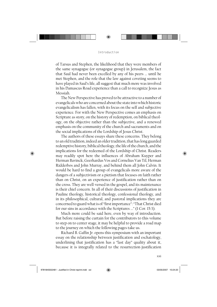

of Tarsus and Stephen, the likelihood that they were members of the same synagogue (or synagogue group) in Jerusalem, the fact that Saul had never been excelled by any of his peers ... until he met Stephen, and the role that the law against coveting seems to have played in Saul's life, all suggest that much more was involved in his Damascus Road experience than a call to recognize Jesus as Messiah.

The New Perspective has proved to be attractive to a number of evangelicals who are concerned about the state into which historic evangelicalism has fallen, with its focus on the self and subjective experience. For with the New Perspective comes an emphasis on Scripture as story, on the history of redemption, on biblical theology, on the objective rather than the subjective, and a renewed emphasis on the community of the church and sacraments and on the social implications of the Lordship of Jesus Christ.

The authors of these essays share these concerns. They belong to an old tradition, indeed an older tradition, that has long guarded redemptive history, biblical theology, the life of the church, and the implications for the redeemed of the Lordship of Christ. Readers may readily spot here the influences of Abraham Kuyper and Herman Bavinck, Geerhardus Vos and Cornelius Van Til, Herman Ridderbos and John Murray, and behind them all John Calvin. It would be hard to find a group of evangelicals more aware of the dangers of a subjectivism or a pietism that focuses on faith rather than on Christ, on an experience of justification rather than on the cross. They are well-versed in the gospel, and its maintenance is their chief concern. In all of their discussions of justification in Pauline theology, historical theology, confessional theology, and in its philosophical, cultural, and pastoral implications they are concerned to guard what is of "first importance": "That Christ died for our sins in accordance with the Scriptures ..." (1 Cor. 15:3).

Much more could be said here, even by way of introduction. But before raising the curtain for the contributors to this volume to step on to center stage, it may be helpful to provide a road map to the journey on which the following pages take us.

Richard B. Gaffin Jr. opens this symposium with an important essay on the relationship between justification and eschatology, underlining that justification has a "last day" quality about it, because it is integrally related to the resurrection-justification

xxi

⊕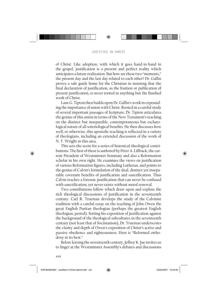

of Christ. Like adoption, with which it goes hand-in-hand in the gospel, justification is a present and perfect reality which anticipates a future realization. But how are these two "moments," the present day and the last day related to each other? Dr. Gaffin proves a safe guide home for the Christian in insisting that the final declaration of justification, as the fruition or publication of present justification, is never rooted in anything but the finished work of Christ.

Lane G. Tipton then builds upon Dr. Gaffin's work in expounding the importance of union with Christ. Rooted in a careful study of several important passages of Scripture, Dr. Tipton articulates the genius of this union in terms of the New Testament's teaching on the distinct but inseparable, contemporaneous but eschatological nature of all soteriological benefits. He then discusses how well, or otherwise, this apostolic teaching is reflected in a variety of theologians, including an extended discussion of the work of N. T. Wright in this area,

This sets the scene for a series of historical-theological contributions. The first of these is authored by Peter A. Lillback, the current President of Westminster Seminary and also a Reformation scholar in his own right. He examines the views on justification of various Reformation figures, including Lutheran, and points to the genius of Calvin's formulation of the dual, distinct yet inseparable covenant benefits of justification and sanctification. Thus Calvin teaches a forensic justification that can never be confused with sanctification, yet never exists without moral renewal.

Two contributions follow which draw upon and explore the rich theological discussions of justification in the seventeenth century. Carl R. Trueman develops the study of the Calvinist tradition with a careful essay on the teaching of John Owen the great English Puritan theologian (perhaps the greatest English theologian, period). Setting his exposition of justification against the background of the theological subcultures in the seventeenth century (not least that of Socinianism), Dr. Trueman underscores the clarity and depth of Owen's exposition of Christ's active and passive obedience and righteousness. Here is "Reformed orthodoxy at its best."

Before leaving the seventeenth century, Jeffrey K. Jue invites us to linger at the Westminster Assembly's debates and discussions



⊕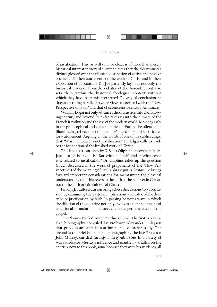

of justification. This, as will soon be clear, is of more than merely historical interest in view of current claims that the Westminster divines glossed over the classical distinction of active and passive obedience in their statements on the work of Christ and in their exposition of imputation. Dr. Jue patiently lays out not only the historical evidence from the debates of the Assembly, but also sets them within the historical-theological context without which they have been misinterpreted. By way of conclusion he draws a striking parallel between views associated with the "New Perspective on Paul" and that of seventeenth-century Arminians.

William Edgar not only advances the discussion into the following century and beyond, but also takes us into the climate of the French Revolution and the rise of the modern world. Moving easily in the philosophical and cultural milieu of Europe, he offers some illuminating reflections on humanity's need of  $-$  and substitutes for – atonement. Arguing, in the words of one of his subheadings, that "Warm embrace is not justification" Dr. Edgar calls us back to the foundation of the finished work of Christ.

This leads us to an essay by K. Scott Oliphint on covenant faith. Justification is "by faith." But what is "faith" and in what sense is it related to justification? Dr. Oliphint takes up the question (much discussed in the work of proponents of the "New Perspective") of the meaning of Paul's phrase *pistis Christou*. He brings forward important considerations for maintaining the classical understanding that this refers to the faith of the believer in Christ, not to the faith or faithfulness of Christ.

Finally, J. Stafford Carson brings these discussions to a conclusion by examining the pastoral implications and value of the doctrine of justification by faith. In passing he notes ways in which the dilution of the doctrine not only involves an abandonment of traditional formulations but actually endangers the truth of the gospel.

Two "bonus tracks" complete this volume. The first is a valuable bibliography compiled by Professor Alexander Finlayson that provides an essential starting point for further study. The second is the brief but seminal monograph by the late Professor John Murray, entitled *The Imputation of Adam's Sin*. In a variety of ways Professor Murray's influence and mantle have fallen on the contributors to this book, some because they were his students, all

xxiii

⊕